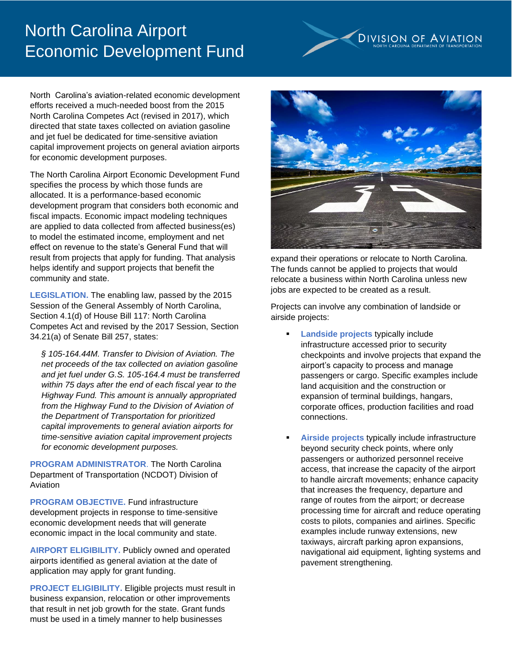## North Carolina Airport Economic Development Fund



North Carolina's aviation-related economic development efforts received a much-needed boost from the 2015 North Carolina Competes Act (revised in 2017), which directed that state taxes collected on aviation gasoline and jet fuel be dedicated for time-sensitive aviation capital improvement projects on general aviation airports for economic development purposes.

The North Carolina Airport Economic Development Fund specifies the process by which those funds are allocated. It is a performance-based economic development program that considers both economic and fiscal impacts. Economic impact modeling techniques are applied to data collected from affected business(es) to model the estimated income, employment and net effect on revenue to the state's General Fund that will result from projects that apply for funding. That analysis helps identify and support projects that benefit the community and state.

**LEGISLATION.** The enabling law, passed by the 2015 Session of the General Assembly of North Carolina, Section 4.1(d) of House Bill 117: North Carolina Competes Act and revised by the 2017 Session, Section 34.21(a) of Senate Bill 257, states:

*§ 105-164.44M. Transfer to Division of Aviation. The net proceeds of the tax collected on aviation gasoline and jet fuel under G.S. 105-164.4 must be transferred within 75 days after the end of each fiscal year to the Highway Fund. This amount is annually appropriated from the Highway Fund to the Division of Aviation of the Department of Transportation for prioritized capital improvements to general aviation airports for time-sensitive aviation capital improvement projects for economic development purposes.*

**PROGRAM ADMINISTRATOR**. The North Carolina Department of Transportation (NCDOT) Division of Aviation

**PROGRAM OBJECTIVE.** Fund infrastructure development projects in response to time-sensitive economic development needs that will generate economic impact in the local community and state.

**AIRPORT ELIGIBILITY.** Publicly owned and operated airports identified as general aviation at the date of application may apply for grant funding.

**PROJECT ELIGIBILITY.** Eligible projects must result in business expansion, relocation or other improvements that result in net job growth for the state. Grant funds must be used in a timely manner to help businesses



expand their operations or relocate to North Carolina. The funds cannot be applied to projects that would relocate a business within North Carolina unless new jobs are expected to be created as a result.

Projects can involve any combination of landside or airside projects:

- **Landside projects typically include** infrastructure accessed prior to security checkpoints and involve projects that expand the airport's capacity to process and manage passengers or cargo. Specific examples include land acquisition and the construction or expansion of terminal buildings, hangars, corporate offices, production facilities and road connections.
- Airside projects typically include infrastructure beyond security check points, where only passengers or authorized personnel receive access, that increase the capacity of the airport to handle aircraft movements; enhance capacity that increases the frequency, departure and range of routes from the airport; or decrease processing time for aircraft and reduce operating costs to pilots, companies and airlines. Specific examples include runway extensions, new taxiways, aircraft parking apron expansions, navigational aid equipment, lighting systems and pavement strengthening.